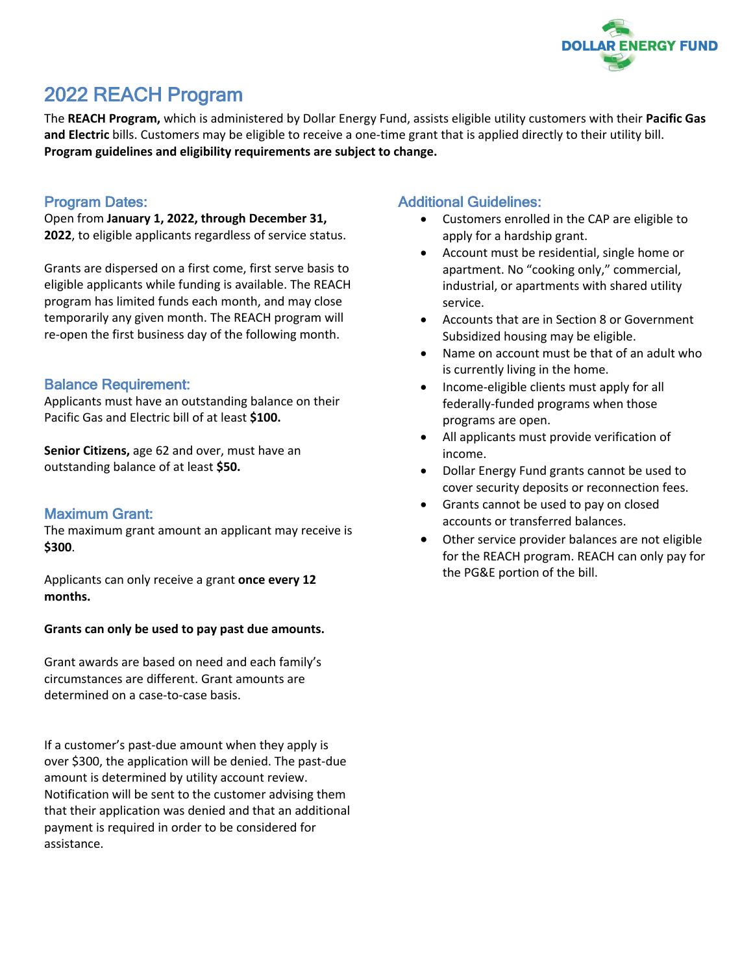

# 2022 REACH Program

The **REACH Program,** which is administered by Dollar Energy Fund, assists eligible utility customers with their **Pacific Gas and Electric** bills. Customers may be eligible to receive a one-time grant that is applied directly to their utility bill. **Program guidelines and eligibility requirements are subject to change.**

## Program Dates:

Open from **January 1, 2022, through December 31, 2022**, to eligible applicants regardless of service status.

Grants are dispersed on a first come, first serve basis to eligible applicants while funding is available. The REACH program has limited funds each month, and may close temporarily any given month. The REACH program will re-open the first business day of the following month.

## Balance Requirement:

Applicants must have an outstanding balance on their Pacific Gas and Electric bill of at least **\$100.**

**Senior Citizens,** age 62 and over, must have an outstanding balance of at least **\$50.**

## Maximum Grant:

The maximum grant amount an applicant may receive is **\$300**.

Applicants can only receive a grant **once every 12 months.**

#### **Grants can only be used to pay past due amounts.**

Grant awards are based on need and each family's circumstances are different. Grant amounts are determined on a case-to-case basis.

If a customer's past-due amount when they apply is over \$300, the application will be denied. The past-due amount is determined by utility account review. Notification will be sent to the customer advising them that their application was denied and that an additional payment is required in order to be considered for assistance.

# Additional Guidelines:

- Customers enrolled in the CAP are eligible to apply for a hardship grant.
- Account must be residential, single home or apartment. No "cooking only," commercial, industrial, or apartments with shared utility service.
- Accounts that are in Section 8 or Government Subsidized housing may be eligible.
- Name on account must be that of an adult who is currently living in the home.
- Income-eligible clients must apply for all federally-funded programs when those programs are open.
- All applicants must provide verification of income.
- Dollar Energy Fund grants cannot be used to cover security deposits or reconnection fees.
- Grants cannot be used to pay on closed accounts or transferred balances.
- Other service provider balances are not eligible for the REACH program. REACH can only pay for the PG&E portion of the bill.